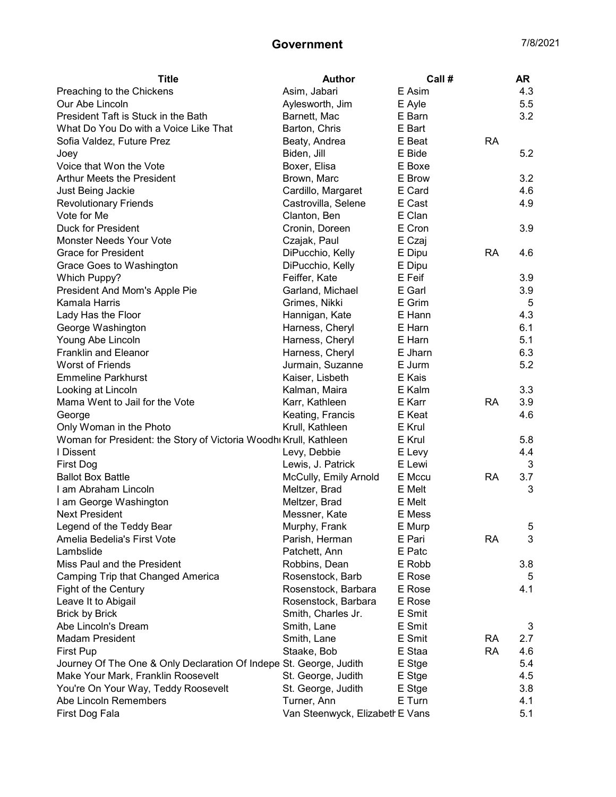| <b>Title</b>                                                       | <b>Author</b>                   | Call #  |           | <b>AR</b> |
|--------------------------------------------------------------------|---------------------------------|---------|-----------|-----------|
| Preaching to the Chickens                                          | Asim, Jabari                    | E Asim  |           | 4.3       |
| Our Abe Lincoln                                                    | Aylesworth, Jim                 | E Ayle  |           | 5.5       |
| President Taft is Stuck in the Bath                                | Barnett, Mac                    | E Barn  |           | 3.2       |
| What Do You Do with a Voice Like That                              | Barton, Chris                   | E Bart  |           |           |
| Sofia Valdez, Future Prez                                          | Beaty, Andrea                   | E Beat  | <b>RA</b> |           |
| Joey                                                               | Biden, Jill                     | E Bide  |           | 5.2       |
| Voice that Won the Vote                                            | Boxer, Elisa                    | E Boxe  |           |           |
| Arthur Meets the President                                         | Brown, Marc                     | E Brow  |           | 3.2       |
| Just Being Jackie                                                  | Cardillo, Margaret              | E Card  |           | 4.6       |
| <b>Revolutionary Friends</b>                                       | Castrovilla, Selene             | E Cast  |           | 4.9       |
| Vote for Me                                                        | Clanton, Ben                    | E Clan  |           |           |
| Duck for President                                                 | Cronin, Doreen                  | E Cron  |           | 3.9       |
| Monster Needs Your Vote                                            | Czajak, Paul                    | E Czaj  |           |           |
| <b>Grace for President</b>                                         | DiPucchio, Kelly                | E Dipu  | <b>RA</b> | 4.6       |
| Grace Goes to Washington                                           | DiPucchio, Kelly                | E Dipu  |           |           |
| <b>Which Puppy?</b>                                                | Feiffer, Kate                   | E Feif  |           | 3.9       |
| President And Mom's Apple Pie                                      | Garland, Michael                | E Garl  |           | 3.9       |
| Kamala Harris                                                      | Grimes, Nikki                   | E Grim  |           | 5         |
| Lady Has the Floor                                                 | Hannigan, Kate                  | E Hann  |           | 4.3       |
| George Washington                                                  | Harness, Cheryl                 | E Harn  |           | 6.1       |
| Young Abe Lincoln                                                  | Harness, Cheryl                 | E Harn  |           | 5.1       |
| <b>Franklin and Eleanor</b>                                        | Harness, Cheryl                 | E Jharn |           | 6.3       |
| <b>Worst of Friends</b>                                            | Jurmain, Suzanne                | E Jurm  |           | 5.2       |
| <b>Emmeline Parkhurst</b>                                          | Kaiser, Lisbeth                 | E Kais  |           |           |
| Looking at Lincoln                                                 | Kalman, Maira                   | E Kalm  |           | 3.3       |
| Mama Went to Jail for the Vote                                     | Karr, Kathleen                  | E Karr  | <b>RA</b> | 3.9       |
| George                                                             | Keating, Francis                | E Keat  |           | 4.6       |
| Only Woman in the Photo                                            | Krull, Kathleen                 | E Krul  |           |           |
| Woman for President: the Story of Victoria Woodhi Krull, Kathleen  |                                 | E Krul  |           | 5.8       |
| I Dissent                                                          | Levy, Debbie                    | E Levy  |           | 4.4       |
| <b>First Dog</b>                                                   | Lewis, J. Patrick               | E Lewi  |           | 3         |
| <b>Ballot Box Battle</b>                                           | McCully, Emily Arnold           | E Mccu  | <b>RA</b> | 3.7       |
| I am Abraham Lincoln                                               | Meltzer, Brad                   | E Melt  |           | 3         |
| I am George Washington                                             | Meltzer, Brad                   | E Melt  |           |           |
| <b>Next President</b>                                              | Messner, Kate                   | E Mess  |           |           |
| Legend of the Teddy Bear                                           | Murphy, Frank                   | E Murp  |           | 5         |
| Amelia Bedelia's First Vote                                        | Parish, Herman                  | E Pari  | <b>RA</b> | 3         |
| Lambslide                                                          | Patchett, Ann                   | E Patc  |           |           |
| Miss Paul and the President                                        | Robbins, Dean                   | E Robb  |           | 3.8       |
| Camping Trip that Changed America                                  | Rosenstock, Barb                | E Rose  |           | 5         |
| <b>Fight of the Century</b>                                        | Rosenstock, Barbara             | E Rose  |           | 4.1       |
| Leave It to Abigail                                                | Rosenstock, Barbara             | E Rose  |           |           |
| <b>Brick by Brick</b>                                              | Smith, Charles Jr.              | E Smit  |           |           |
| Abe Lincoln's Dream                                                | Smith, Lane                     | E Smit  |           | 3         |
| <b>Madam President</b>                                             | Smith, Lane                     | E Smit  | <b>RA</b> | 2.7       |
| <b>First Pup</b>                                                   | Staake, Bob                     | E Staa  | <b>RA</b> | 4.6       |
| Journey Of The One & Only Declaration Of Indepe St. George, Judith |                                 | E Stge  |           | 5.4       |
| Make Your Mark, Franklin Roosevelt                                 | St. George, Judith              | E Stge  |           | 4.5       |
| You're On Your Way, Teddy Roosevelt                                | St. George, Judith              | E Stge  |           | 3.8       |
| Abe Lincoln Remembers                                              | Turner, Ann                     | E Turn  |           | 4.1       |
| First Dog Fala                                                     | Van Steenwyck, Elizabeth E Vans |         |           | 5.1       |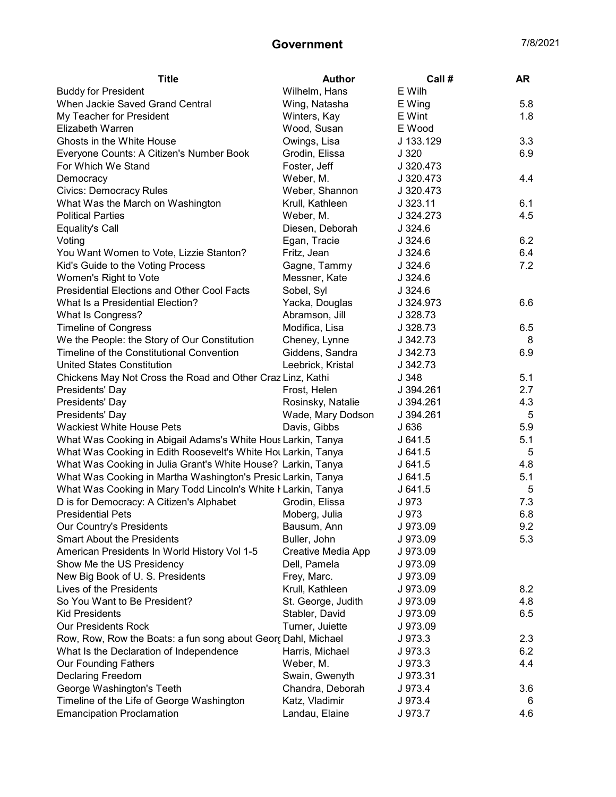| <b>Title</b>                                                  | <b>Author</b>      | Call #    | <b>AR</b> |
|---------------------------------------------------------------|--------------------|-----------|-----------|
| <b>Buddy for President</b>                                    | Wilhelm, Hans      | E Wilh    |           |
| When Jackie Saved Grand Central                               | Wing, Natasha      | E Wing    | 5.8       |
| My Teacher for President                                      | Winters, Kay       | E Wint    | 1.8       |
| Elizabeth Warren                                              | Wood, Susan        | E Wood    |           |
| Ghosts in the White House                                     | Owings, Lisa       | J 133.129 | 3.3       |
| Everyone Counts: A Citizen's Number Book                      | Grodin, Elissa     | J 320     | 6.9       |
| For Which We Stand                                            | Foster, Jeff       | J 320.473 |           |
| Democracy                                                     | Weber, M.          | J 320.473 | 4.4       |
| <b>Civics: Democracy Rules</b>                                | Weber, Shannon     | J 320.473 |           |
| What Was the March on Washington                              | Krull, Kathleen    | J 323.11  | 6.1       |
| <b>Political Parties</b>                                      | Weber, M.          | J 324.273 | 4.5       |
| <b>Equality's Call</b>                                        | Diesen, Deborah    | $J$ 324.6 |           |
| Voting                                                        | Egan, Tracie       | J.324.6   | 6.2       |
| You Want Women to Vote, Lizzie Stanton?                       | Fritz, Jean        | J.324.6   | 6.4       |
| Kid's Guide to the Voting Process                             | Gagne, Tammy       | J324.6    | 7.2       |
| Women's Right to Vote                                         | Messner, Kate      | J.324.6   |           |
| <b>Presidential Elections and Other Cool Facts</b>            | Sobel, Syl         | J.324.6   |           |
| What Is a Presidential Election?                              | Yacka, Douglas     | J 324.973 | 6.6       |
| What Is Congress?                                             | Abramson, Jill     | J 328.73  |           |
| <b>Timeline of Congress</b>                                   | Modifica, Lisa     | J 328.73  | 6.5       |
| We the People: the Story of Our Constitution                  | Cheney, Lynne      | J 342.73  | 8         |
| Timeline of the Constitutional Convention                     | Giddens, Sandra    | J 342.73  | 6.9       |
| <b>United States Constitution</b>                             | Leebrick, Kristal  | J 342.73  |           |
| Chickens May Not Cross the Road and Other Craz Linz, Kathi    |                    | J 348     | 5.1       |
| Presidents' Day                                               | Frost, Helen       | J 394.261 | 2.7       |
| Presidents' Day                                               | Rosinsky, Natalie  | J 394.261 | 4.3       |
| Presidents' Day                                               | Wade, Mary Dodson  | J 394.261 | 5         |
| <b>Wackiest White House Pets</b>                              | Davis, Gibbs       | J 636     | 5.9       |
| What Was Cooking in Abigail Adams's White Hous Larkin, Tanya  |                    | J 641.5   | 5.1       |
| What Was Cooking in Edith Roosevelt's White Hot Larkin, Tanya |                    | J641.5    | 5         |
| What Was Cooking in Julia Grant's White House? Larkin, Tanya  |                    | J641.5    | 4.8       |
| What Was Cooking in Martha Washington's Presic Larkin, Tanya  |                    | J641.5    | 5.1       |
| What Was Cooking in Mary Todd Lincoln's White I Larkin, Tanya |                    | J641.5    | 5         |
| D is for Democracy: A Citizen's Alphabet                      | Grodin, Elissa     | J 973     | 7.3       |
| <b>Presidential Pets</b>                                      | Moberg, Julia      | J 973     | 6.8       |
| Our Country's Presidents                                      | Bausum, Ann        | J 973.09  | 9.2       |
| <b>Smart About the Presidents</b>                             | Buller, John       | J 973.09  | 5.3       |
| American Presidents In World History Vol 1-5                  | Creative Media App | J 973.09  |           |
| Show Me the US Presidency                                     | Dell, Pamela       | J 973.09  |           |
| New Big Book of U.S. Presidents                               | Frey, Marc.        | J 973.09  |           |
| Lives of the Presidents                                       | Krull, Kathleen    | J 973.09  | 8.2       |
| So You Want to Be President?                                  | St. George, Judith | J 973.09  | 4.8       |
| <b>Kid Presidents</b>                                         | Stabler, David     | J 973.09  | 6.5       |
| <b>Our Presidents Rock</b>                                    | Turner, Juiette    | J 973.09  |           |
| Row, Row, Row the Boats: a fun song about Georς Dahl, Michael |                    | J 973.3   | 2.3       |
| What Is the Declaration of Independence                       | Harris, Michael    | J 973.3   | 6.2       |
| <b>Our Founding Fathers</b>                                   | Weber, M.          | J 973.3   | 4.4       |
| Declaring Freedom                                             | Swain, Gwenyth     | J 973.31  |           |
| George Washington's Teeth                                     | Chandra, Deborah   | J 973.4   | 3.6       |
| Timeline of the Life of George Washington                     | Katz, Vladimir     | J 973.4   | 6         |
| <b>Emancipation Proclamation</b>                              | Landau, Elaine     | J 973.7   | 4.6       |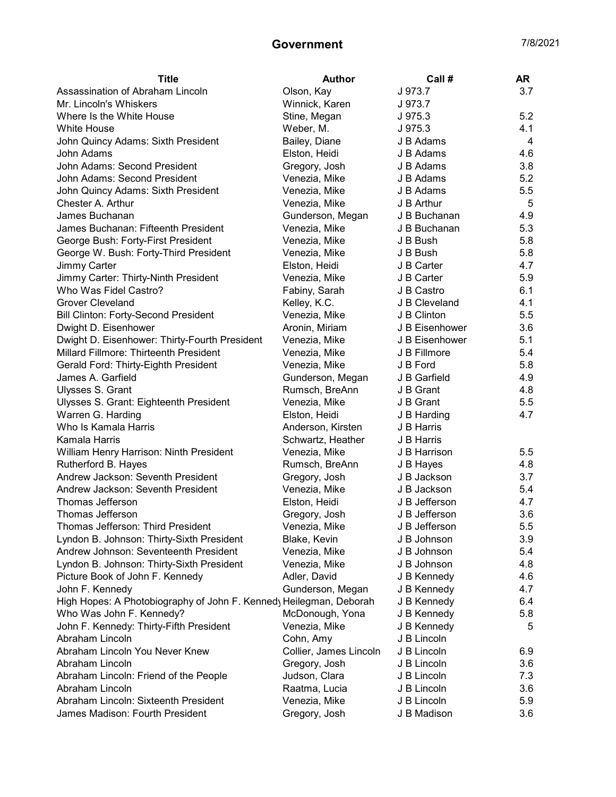| <b>Title</b>                                                      | <b>Author</b>          | Call#          | <b>AR</b> |
|-------------------------------------------------------------------|------------------------|----------------|-----------|
| Assassination of Abraham Lincoln                                  | Olson, Kay             | J 973.7        | 3.7       |
| Mr. Lincoln's Whiskers                                            | Winnick, Karen         | J 973.7        |           |
| Where Is the White House                                          | Stine, Megan           | J 975.3        | 5.2       |
| <b>White House</b>                                                | Weber, M.              | J 975.3        | 4.1       |
| John Quincy Adams: Sixth President                                | Bailey, Diane          | J B Adams      | 4         |
| John Adams                                                        | Elston, Heidi          | J B Adams      | 4.6       |
| John Adams: Second President                                      | Gregory, Josh          | J B Adams      | 3.8       |
| John Adams: Second President                                      | Venezia, Mike          | J B Adams      | 5.2       |
| John Quincy Adams: Sixth President                                | Venezia, Mike          | J B Adams      | 5.5       |
| Chester A. Arthur                                                 | Venezia, Mike          | J B Arthur     | 5         |
| James Buchanan                                                    | Gunderson, Megan       | J B Buchanan   | 4.9       |
| James Buchanan: Fifteenth President                               | Venezia, Mike          | J B Buchanan   | 5.3       |
| George Bush: Forty-First President                                | Venezia, Mike          | J B Bush       | 5.8       |
| George W. Bush: Forty-Third President                             | Venezia, Mike          | J B Bush       | 5.8       |
| Jimmy Carter                                                      | Elston, Heidi          | J B Carter     | 4.7       |
| Jimmy Carter: Thirty-Ninth President                              | Venezia, Mike          | J B Carter     | 5.9       |
| Who Was Fidel Castro?                                             | Fabiny, Sarah          | J B Castro     | 6.1       |
| <b>Grover Cleveland</b>                                           | Kelley, K.C.           | J B Cleveland  | 4.1       |
| <b>Bill Clinton: Forty-Second President</b>                       | Venezia, Mike          | J B Clinton    | 5.5       |
| Dwight D. Eisenhower                                              | Aronin, Miriam         | J B Eisenhower | 3.6       |
| Dwight D. Eisenhower: Thirty-Fourth President                     | Venezia, Mike          | J B Eisenhower | 5.1       |
| Millard Fillmore: Thirteenth President                            | Venezia, Mike          | J B Fillmore   | 5.4       |
| Gerald Ford: Thirty-Eighth President                              | Venezia, Mike          | J B Ford       | 5.8       |
| James A. Garfield                                                 | Gunderson, Megan       | J B Garfield   | 4.9       |
| Ulysses S. Grant                                                  | Rumsch, BreAnn         | J B Grant      | 4.8       |
| Ulysses S. Grant: Eighteenth President                            | Venezia, Mike          | J B Grant      | 5.5       |
| Warren G. Harding                                                 | Elston, Heidi          | J B Harding    | 4.7       |
| Who Is Kamala Harris                                              | Anderson, Kirsten      | J B Harris     |           |
| Kamala Harris                                                     | Schwartz, Heather      | J B Harris     |           |
| William Henry Harrison: Ninth President                           | Venezia, Mike          | J B Harrison   | 5.5       |
| Rutherford B. Hayes                                               | Rumsch, BreAnn         | J B Hayes      | 4.8       |
| Andrew Jackson: Seventh President                                 | Gregory, Josh          | J B Jackson    | 3.7       |
| Andrew Jackson: Seventh President                                 | Venezia, Mike          | J B Jackson    | 5.4       |
| Thomas Jefferson                                                  | Elston, Heidi          | J B Jefferson  | 4.7       |
| Thomas Jefferson                                                  | Gregory, Josh          | J B Jefferson  | 3.6       |
| Thomas Jefferson: Third President                                 | Venezia, Mike          | J B Jefferson  | 5.5       |
| Lyndon B. Johnson: Thirty-Sixth President                         | Blake, Kevin           | J B Johnson    | 3.9       |
| Andrew Johnson: Seventeenth President                             | Venezia, Mike          | J B Johnson    | 5.4       |
| Lyndon B. Johnson: Thirty-Sixth President                         | Venezia, Mike          | J B Johnson    | 4.8       |
| Picture Book of John F. Kennedy                                   | Adler, David           | J B Kennedy    | 4.6       |
| John F. Kennedy                                                   | Gunderson, Megan       | J B Kennedy    | 4.7       |
| High Hopes: A Photobiography of John F. Kenned Heilegman, Deborah |                        | J B Kennedy    | 6.4       |
| Who Was John F. Kennedy?                                          | McDonough, Yona        | J B Kennedy    | 5.8       |
| John F. Kennedy: Thirty-Fifth President                           | Venezia, Mike          | J B Kennedy    | 5         |
| Abraham Lincoln                                                   | Cohn, Amy              | J B Lincoln    |           |
| Abraham Lincoln You Never Knew                                    | Collier, James Lincoln | J B Lincoln    | 6.9       |
| Abraham Lincoln                                                   | Gregory, Josh          | J B Lincoln    | 3.6       |
| Abraham Lincoln: Friend of the People                             | Judson, Clara          | J B Lincoln    | 7.3       |
| Abraham Lincoln                                                   | Raatma, Lucia          | J B Lincoln    | 3.6       |
| Abraham Lincoln: Sixteenth President                              | Venezia, Mike          | J B Lincoln    | 5.9       |
| James Madison: Fourth President                                   | Gregory, Josh          | J B Madison    | 3.6       |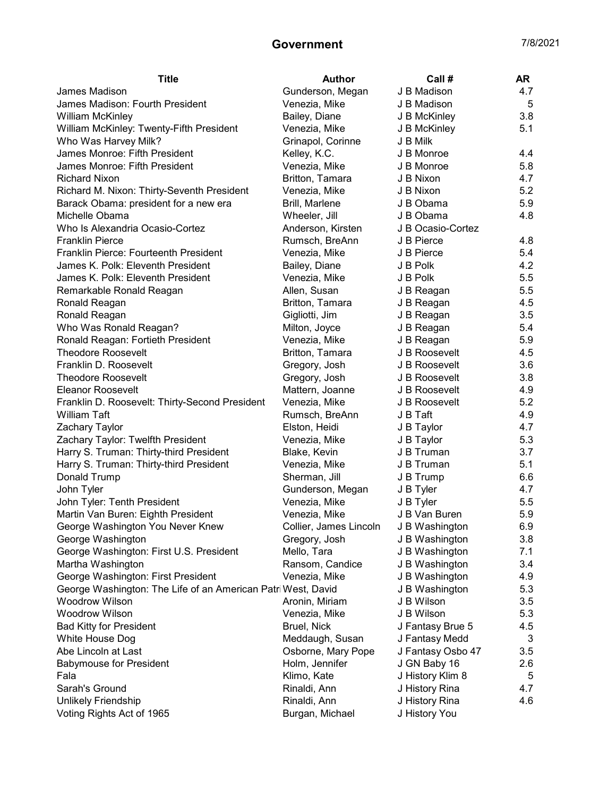| <b>Title</b>                                                 | <b>Author</b>                         | Call #            | AR. |
|--------------------------------------------------------------|---------------------------------------|-------------------|-----|
| James Madison                                                | Gunderson, Megan                      | J B Madison       | 4.7 |
| James Madison: Fourth President                              | Venezia, Mike                         | J B Madison       | 5   |
| <b>William McKinley</b>                                      | Bailey, Diane                         | J B McKinley      | 3.8 |
| William McKinley: Twenty-Fifth President                     | Venezia, Mike                         | J B McKinley      | 5.1 |
| Who Was Harvey Milk?                                         | Grinapol, Corinne                     | J B Milk          |     |
| James Monroe: Fifth President                                | Kelley, K.C.                          | J B Monroe        | 4.4 |
| James Monroe: Fifth President                                | Venezia, Mike                         | J B Monroe        | 5.8 |
| <b>Richard Nixon</b>                                         | Britton, Tamara                       | J B Nixon         | 4.7 |
| Richard M. Nixon: Thirty-Seventh President                   | Venezia, Mike                         | J B Nixon         | 5.2 |
| Barack Obama: president for a new era                        | Brill, Marlene                        | J B Obama         | 5.9 |
| Michelle Obama                                               | Wheeler, Jill                         | J B Obama         | 4.8 |
| Who Is Alexandria Ocasio-Cortez                              | Anderson, Kirsten                     | J B Ocasio-Cortez |     |
| <b>Franklin Pierce</b>                                       | Rumsch, BreAnn                        | J B Pierce        | 4.8 |
| Franklin Pierce: Fourteenth President                        | Venezia, Mike                         | J B Pierce        | 5.4 |
| James K. Polk: Eleventh President                            | Bailey, Diane                         | J B Polk          | 4.2 |
| James K. Polk: Eleventh President                            | Venezia, Mike                         | J B Polk          | 5.5 |
| Remarkable Ronald Reagan                                     | Allen, Susan                          | J B Reagan        | 5.5 |
| Ronald Reagan                                                | Britton, Tamara                       | J B Reagan        | 4.5 |
| Ronald Reagan                                                | Gigliotti, Jim                        | J B Reagan        | 3.5 |
| Who Was Ronald Reagan?                                       | Milton, Joyce                         | J B Reagan        | 5.4 |
| Ronald Reagan: Fortieth President                            | Venezia, Mike                         | J B Reagan        | 5.9 |
| <b>Theodore Roosevelt</b>                                    | Britton, Tamara                       | J B Roosevelt     | 4.5 |
| Franklin D. Roosevelt                                        | Gregory, Josh                         | J B Roosevelt     | 3.6 |
| <b>Theodore Roosevelt</b>                                    | Gregory, Josh                         | J B Roosevelt     | 3.8 |
| <b>Eleanor Roosevelt</b>                                     | Mattern, Joanne                       | J B Roosevelt     | 4.9 |
| Franklin D. Roosevelt: Thirty-Second President               | Venezia, Mike                         | J B Roosevelt     | 5.2 |
| <b>William Taft</b>                                          | Rumsch, BreAnn                        | J B Taft          | 4.9 |
| Zachary Taylor                                               | Elston, Heidi                         | J B Taylor        | 4.7 |
| Zachary Taylor: Twelfth President                            | Venezia, Mike                         | J B Taylor        | 5.3 |
| Harry S. Truman: Thirty-third President                      | Blake, Kevin                          | J B Truman        | 3.7 |
| Harry S. Truman: Thirty-third President                      | Venezia, Mike                         | J B Truman        | 5.1 |
| Donald Trump                                                 | Sherman, Jill                         | J B Trump         | 6.6 |
| John Tyler                                                   | Gunderson, Megan                      | J B Tyler         | 4.7 |
| John Tyler: Tenth President                                  | Venezia, Mike                         | J B Tyler         | 5.5 |
| Martin Van Buren: Eighth President                           | Venezia, Mike                         | J B Van Buren     | 5.9 |
| George Washington You Never Knew                             | Collier, James Lincoln J B Washington |                   | 6.9 |
| George Washington                                            | Gregory, Josh                         | J B Washington    | 3.8 |
| George Washington: First U.S. President                      | Mello, Tara                           | J B Washington    | 7.1 |
| Martha Washington                                            | Ransom, Candice                       | J B Washington    | 3.4 |
| George Washington: First President                           | Venezia, Mike                         | J B Washington    | 4.9 |
| George Washington: The Life of an American Patri West, David |                                       | J B Washington    | 5.3 |
| <b>Woodrow Wilson</b>                                        | Aronin, Miriam                        | J B Wilson        | 3.5 |
| <b>Woodrow Wilson</b>                                        | Venezia, Mike                         | J B Wilson        | 5.3 |
| <b>Bad Kitty for President</b>                               | Bruel, Nick                           | J Fantasy Brue 5  | 4.5 |
| White House Dog                                              | Meddaugh, Susan                       | J Fantasy Medd    | 3   |
| Abe Lincoln at Last                                          | Osborne, Mary Pope                    | J Fantasy Osbo 47 | 3.5 |
| <b>Babymouse for President</b>                               | Holm, Jennifer                        | J GN Baby 16      | 2.6 |
| Fala                                                         | Klimo, Kate                           | J History Klim 8  | 5   |
| Sarah's Ground                                               | Rinaldi, Ann                          | J History Rina    | 4.7 |
| Unlikely Friendship                                          | Rinaldi, Ann                          | J History Rina    | 4.6 |
| Voting Rights Act of 1965                                    | Burgan, Michael                       | J History You     |     |